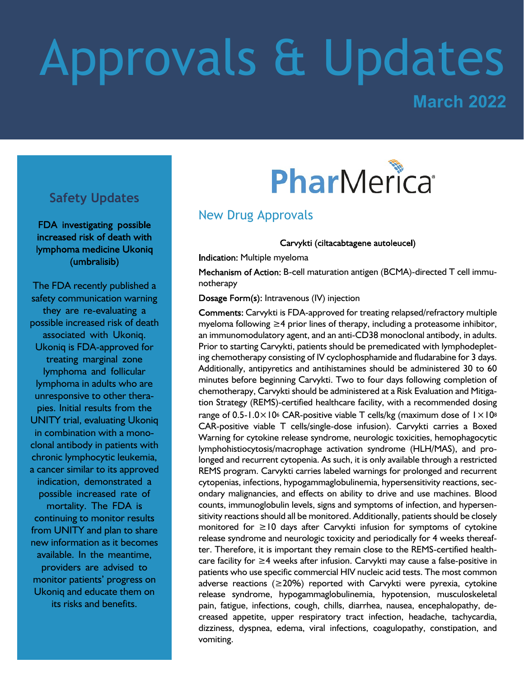# Approvals & Updates

**March 2022**

#### **Safety Updates**

FDA investigating possible increased risk of death with lymphoma medicine Ukoniq (umbralisib)

The FDA recently published a safety communication warning they are re-evaluating a possible increased risk of death associated with Ukoniq. Ukoniq is FDA-approved for treating marginal zone lymphoma and follicular lymphoma in adults who are unresponsive to other therapies. Initial results from the UNITY trial, evaluating Ukoniq in combination with a monoclonal antibody in patients with chronic lymphocytic leukemia, a cancer similar to its approved indication, demonstrated a possible increased rate of mortality. The FDA is continuing to monitor results from UNITY and plan to share new information as it becomes available. In the meantime, providers are advised to monitor patients' progress on Ukoniq and educate them on its risks and benefits.

## PharMerica®

#### New Drug Approvals

Carvykti (ciltacabtagene autoleucel)

Indication: Multiple myeloma

Mechanism of Action: B-cell maturation antigen (BCMA)-directed T cell immunotherapy

Dosage Form(s): Intravenous (IV) injection

Comments: Carvykti is FDA-approved for treating relapsed/refractory multiple myeloma following ≥4 prior lines of therapy, including a proteasome inhibitor, an immunomodulatory agent, and an anti-CD38 monoclonal antibody, in adults. Prior to starting Carvykti, patients should be premedicated with lymphodepleting chemotherapy consisting of IV cyclophosphamide and fludarabine for 3 days. Additionally, antipyretics and antihistamines should be administered 30 to 60 minutes before beginning Carvykti. Two to four days following completion of chemotherapy, Carvykti should be administered at a Risk Evaluation and Mitigation Strategy (REMS)-certified healthcare facility, with a recommended dosing range of  $0.5$ -1.0×10<sup>6</sup> CAR-positive viable T cells/kg (maximum dose of  $1 \times 10^8$ ) CAR-positive viable T cells/single-dose infusion). Carvykti carries a Boxed Warning for cytokine release syndrome, neurologic toxicities, hemophagocytic lymphohistiocytosis/macrophage activation syndrome (HLH/MAS), and prolonged and recurrent cytopenia. As such, it is only available through a restricted REMS program. Carvykti carries labeled warnings for prolonged and recurrent cytopenias, infections, hypogammaglobulinemia, hypersensitivity reactions, secondary malignancies, and effects on ability to drive and use machines. Blood counts, immunoglobulin levels, signs and symptoms of infection, and hypersensitivity reactions should all be monitored. Additionally, patients should be closely monitored for ≥10 days after Carvykti infusion for symptoms of cytokine release syndrome and neurologic toxicity and periodically for 4 weeks thereafter. Therefore, it is important they remain close to the REMS-certified healthcare facility for ≥4 weeks after infusion. Carvykti may cause a false-positive in patients who use specific commercial HIV nucleic acid tests. The most common adverse reactions ( $\geq$ 20%) reported with Carvykti were pyrexia, cytokine release syndrome, hypogammaglobulinemia, hypotension, musculoskeletal pain, fatigue, infections, cough, chills, diarrhea, nausea, encephalopathy, decreased appetite, upper respiratory tract infection, headache, tachycardia, dizziness, dyspnea, edema, viral infections, coagulopathy, constipation, and vomiting.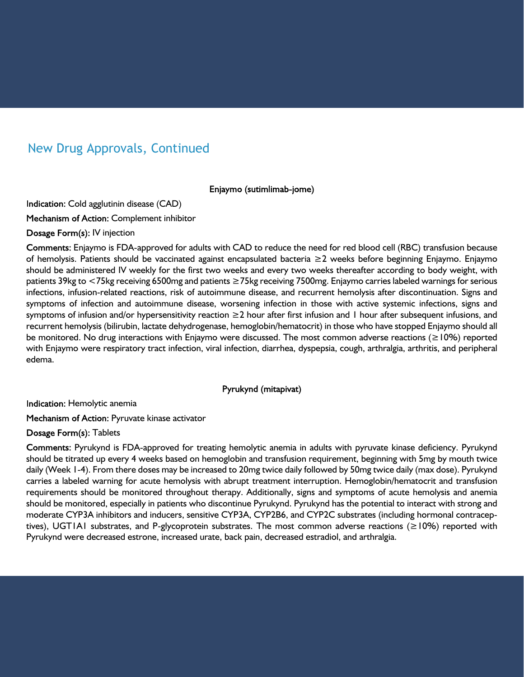#### New Drug Approvals, Continued

Enjaymo (sutimlimab-jome)

Indication: Cold agglutinin disease (CAD)

Mechanism of Action: Complement inhibitor

Dosage Form(s): IV injection

Comments: Enjaymo is FDA-approved for adults with CAD to reduce the need for red blood cell (RBC) transfusion because of hemolysis. Patients should be vaccinated against encapsulated bacteria ≥2 weeks before beginning Enjaymo. Enjaymo should be administered IV weekly for the first two weeks and every two weeks thereafter according to body weight, with patients 39kg to <75kg receiving 6500mg and patients ≥75kg receiving 7500mg. Enjaymo carries labeled warnings for serious infections, infusion-related reactions, risk of autoimmune disease, and recurrent hemolysis after discontinuation. Signs and symptoms of infection and autoimmune disease, worsening infection in those with active systemic infections, signs and symptoms of infusion and/or hypersensitivity reaction ≥2 hour after first infusion and 1 hour after subsequent infusions, and recurrent hemolysis (bilirubin, lactate dehydrogenase, hemoglobin/hematocrit) in those who have stopped Enjaymo should all be monitored. No drug interactions with Enjaymo were discussed. The most common adverse reactions (≥10%) reported with Enjaymo were respiratory tract infection, viral infection, diarrhea, dyspepsia, cough, arthralgia, arthritis, and peripheral edema.

Pyrukynd (mitapivat)

Indication: Hemolytic anemia

Mechanism of Action: Pyruvate kinase activator

Dosage Form(s): Tablets

Comments: Pyrukynd is FDA-approved for treating hemolytic anemia in adults with pyruvate kinase deficiency. Pyrukynd should be titrated up every 4 weeks based on hemoglobin and transfusion requirement, beginning with 5mg by mouth twice daily (Week 1-4). From there doses may be increased to 20mg twice daily followed by 50mg twice daily (max dose). Pyrukynd carries a labeled warning for acute hemolysis with abrupt treatment interruption. Hemoglobin/hematocrit and transfusion requirements should be monitored throughout therapy. Additionally, signs and symptoms of acute hemolysis and anemia should be monitored, especially in patients who discontinue Pyrukynd. Pyrukynd has the potential to interact with strong and moderate CYP3A inhibitors and inducers, sensitive CYP3A, CYP2B6, and CYP2C substrates (including hormonal contraceptives), UGT1A1 substrates, and P-glycoprotein substrates. The most common adverse reactions (≥10%) reported with Pyrukynd were decreased estrone, increased urate, back pain, decreased estradiol, and arthralgia.